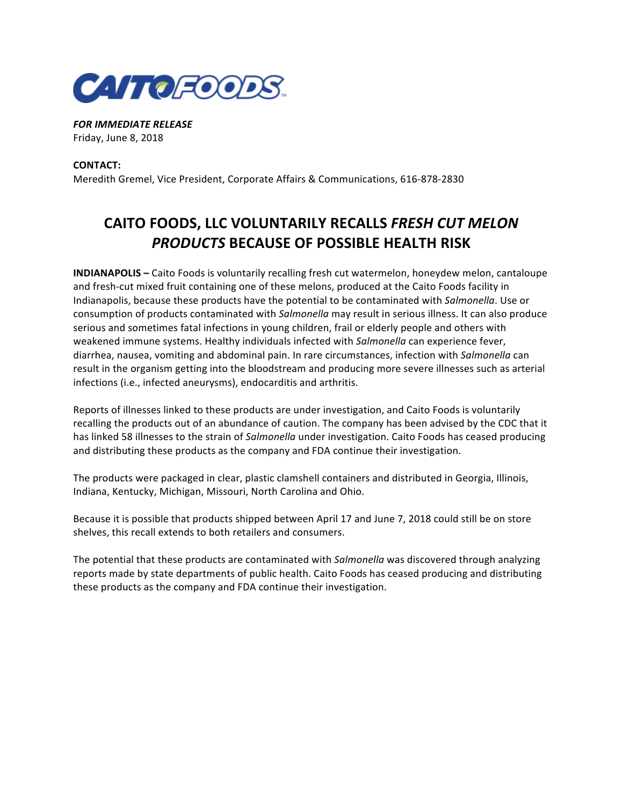

**FOR IMMEDIATE RELEASE** Friday, June 8, 2018

**CONTACT:** Meredith Gremel, Vice President, Corporate Affairs & Communications, 616-878-2830

## **CAITO FOODS, LLC VOLUNTARILY RECALLS** *FRESH CUT MELON*  **PRODUCTS BECAUSE OF POSSIBLE HEALTH RISK**

**INDIANAPOLIS** - Caito Foods is voluntarily recalling fresh cut watermelon, honeydew melon, cantaloupe and fresh-cut mixed fruit containing one of these melons, produced at the Caito Foods facility in Indianapolis, because these products have the potential to be contaminated with *Salmonella*. Use or consumption of products contaminated with *Salmonella* may result in serious illness. It can also produce serious and sometimes fatal infections in young children, frail or elderly people and others with weakened immune systems. Healthy individuals infected with *Salmonella* can experience fever, diarrhea, nausea, vomiting and abdominal pain. In rare circumstances, infection with *Salmonella* can result in the organism getting into the bloodstream and producing more severe illnesses such as arterial infections (i.e., infected aneurysms), endocarditis and arthritis.

Reports of illnesses linked to these products are under investigation, and Caito Foods is voluntarily recalling the products out of an abundance of caution. The company has been advised by the CDC that it has linked 58 illnesses to the strain of *Salmonella* under investigation. Caito Foods has ceased producing and distributing these products as the company and FDA continue their investigation.

The products were packaged in clear, plastic clamshell containers and distributed in Georgia, Illinois, Indiana, Kentucky, Michigan, Missouri, North Carolina and Ohio.

Because it is possible that products shipped between April 17 and June 7, 2018 could still be on store shelves, this recall extends to both retailers and consumers.

The potential that these products are contaminated with *Salmonella* was discovered through analyzing reports made by state departments of public health. Caito Foods has ceased producing and distributing these products as the company and FDA continue their investigation.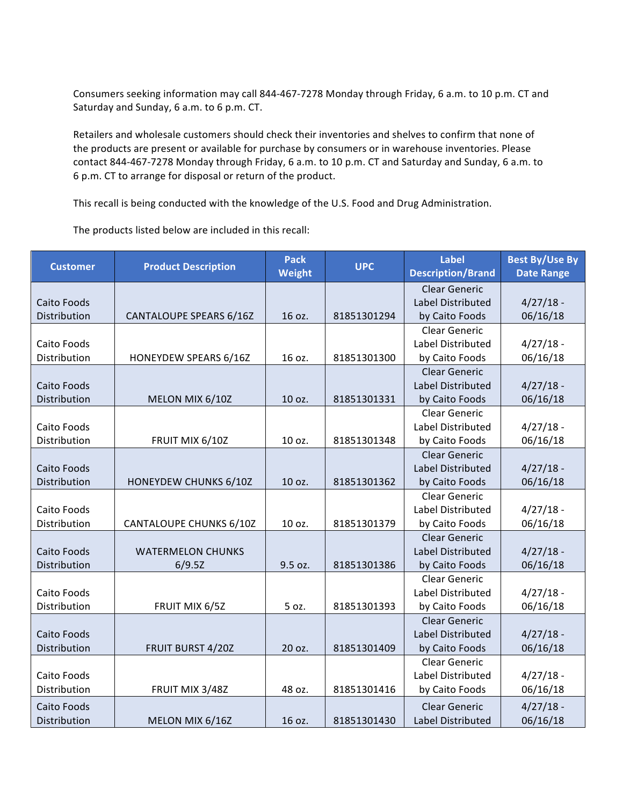Consumers seeking information may call 844-467-7278 Monday through Friday, 6 a.m. to 10 p.m. CT and Saturday and Sunday, 6 a.m. to 6 p.m. CT.

Retailers and wholesale customers should check their inventories and shelves to confirm that none of the products are present or available for purchase by consumers or in warehouse inventories. Please contact 844-467-7278 Monday through Friday, 6 a.m. to 10 p.m. CT and Saturday and Sunday, 6 a.m. to 6 p.m. CT to arrange for disposal or return of the product.

This recall is being conducted with the knowledge of the U.S. Food and Drug Administration.

The products listed below are included in this recall:

| <b>Customer</b>    | <b>Product Description</b>     | <b>Pack</b><br>Weight | <b>UPC</b>  | <b>Label</b><br><b>Description/Brand</b> | <b>Best By/Use By</b><br><b>Date Range</b> |
|--------------------|--------------------------------|-----------------------|-------------|------------------------------------------|--------------------------------------------|
|                    |                                |                       |             | <b>Clear Generic</b>                     |                                            |
| <b>Caito Foods</b> |                                |                       |             | Label Distributed                        | $4/27/18$ -                                |
| Distribution       | <b>CANTALOUPE SPEARS 6/16Z</b> | 16 oz.                | 81851301294 | by Caito Foods                           | 06/16/18                                   |
|                    |                                |                       |             | <b>Clear Generic</b>                     |                                            |
| Caito Foods        |                                |                       |             | Label Distributed                        | $4/27/18 -$                                |
| Distribution       | HONEYDEW SPEARS 6/16Z          | 16 oz.                | 81851301300 | by Caito Foods                           | 06/16/18                                   |
|                    |                                |                       |             | <b>Clear Generic</b>                     |                                            |
| Caito Foods        |                                |                       |             | Label Distributed                        | $4/27/18$ -                                |
| Distribution       | MELON MIX 6/10Z                | 10 oz.                | 81851301331 | by Caito Foods                           | 06/16/18                                   |
|                    |                                |                       |             | <b>Clear Generic</b>                     |                                            |
| Caito Foods        |                                |                       |             | Label Distributed                        | $4/27/18$ -                                |
| Distribution       | FRUIT MIX 6/10Z                | 10 oz.                | 81851301348 | by Caito Foods                           | 06/16/18                                   |
|                    |                                |                       |             | <b>Clear Generic</b>                     |                                            |
| Caito Foods        |                                |                       |             | Label Distributed                        | $4/27/18$ -                                |
| Distribution       | HONEYDEW CHUNKS 6/10Z          | 10 oz.                | 81851301362 | by Caito Foods                           | 06/16/18                                   |
|                    |                                |                       |             | <b>Clear Generic</b>                     |                                            |
| Caito Foods        |                                |                       |             | Label Distributed                        | $4/27/18 -$                                |
| Distribution       | <b>CANTALOUPE CHUNKS 6/10Z</b> | 10 oz.                | 81851301379 | by Caito Foods                           | 06/16/18                                   |
|                    |                                |                       |             | <b>Clear Generic</b>                     |                                            |
| Caito Foods        | <b>WATERMELON CHUNKS</b>       |                       |             | Label Distributed                        | $4/27/18$ -                                |
| Distribution       | 6/9.5Z                         | 9.5 oz.               | 81851301386 | by Caito Foods                           | 06/16/18                                   |
|                    |                                |                       |             | <b>Clear Generic</b>                     |                                            |
| Caito Foods        |                                |                       |             | Label Distributed                        | $4/27/18$ -                                |
| Distribution       | FRUIT MIX 6/5Z                 | 5 oz.                 | 81851301393 | by Caito Foods                           | 06/16/18                                   |
|                    |                                |                       |             | <b>Clear Generic</b>                     |                                            |
| Caito Foods        |                                |                       |             | Label Distributed                        | $4/27/18$ -                                |
| Distribution       | FRUIT BURST 4/20Z              | 20 oz.                | 81851301409 | by Caito Foods                           | 06/16/18                                   |
|                    |                                |                       |             | <b>Clear Generic</b>                     |                                            |
| Caito Foods        |                                |                       |             | Label Distributed                        | $4/27/18 -$                                |
| Distribution       | FRUIT MIX 3/48Z                | 48 oz.                | 81851301416 | by Caito Foods                           | 06/16/18                                   |
| Caito Foods        |                                |                       |             | <b>Clear Generic</b>                     | $4/27/18$ -                                |
| Distribution       | MELON MIX 6/16Z                | 16 oz.                | 81851301430 | Label Distributed                        | 06/16/18                                   |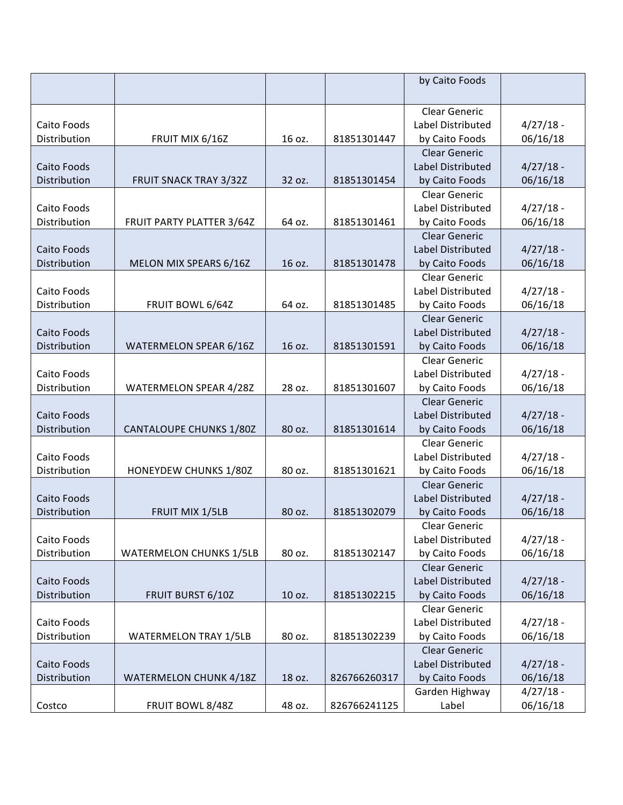|              |                                |        |              | by Caito Foods                         |                         |
|--------------|--------------------------------|--------|--------------|----------------------------------------|-------------------------|
|              |                                |        |              |                                        |                         |
|              |                                |        |              | <b>Clear Generic</b>                   |                         |
| Caito Foods  |                                |        |              | Label Distributed                      | $4/27/18 -$             |
| Distribution | FRUIT MIX 6/16Z                | 16 oz. | 81851301447  | by Caito Foods                         | 06/16/18                |
|              |                                |        |              | <b>Clear Generic</b>                   |                         |
| Caito Foods  |                                |        |              | Label Distributed                      | $4/27/18 -$             |
| Distribution | <b>FRUIT SNACK TRAY 3/32Z</b>  | 32 oz. | 81851301454  | by Caito Foods                         | 06/16/18                |
|              |                                |        |              | <b>Clear Generic</b>                   |                         |
| Caito Foods  |                                |        |              | Label Distributed                      | $4/27/18$ -             |
| Distribution | FRUIT PARTY PLATTER 3/64Z      | 64 oz. | 81851301461  | by Caito Foods                         | 06/16/18                |
|              |                                |        |              | <b>Clear Generic</b>                   |                         |
| Caito Foods  |                                |        |              | Label Distributed                      | $4/27/18 -$             |
| Distribution | MELON MIX SPEARS 6/16Z         | 16 oz. | 81851301478  | by Caito Foods                         | 06/16/18                |
|              |                                |        |              | <b>Clear Generic</b>                   |                         |
| Caito Foods  |                                |        |              | Label Distributed                      | $4/27/18 -$             |
| Distribution | FRUIT BOWL 6/64Z               | 64 oz. | 81851301485  | by Caito Foods                         | 06/16/18                |
|              |                                |        |              | <b>Clear Generic</b>                   |                         |
| Caito Foods  |                                |        |              | Label Distributed                      | $4/27/18 -$             |
| Distribution | <b>WATERMELON SPEAR 6/16Z</b>  | 16 oz. | 81851301591  | by Caito Foods                         | 06/16/18                |
| Caito Foods  |                                |        |              | <b>Clear Generic</b>                   |                         |
| Distribution |                                | 28 oz. | 81851301607  | Label Distributed                      | $4/27/18 -$<br>06/16/18 |
|              | <b>WATERMELON SPEAR 4/28Z</b>  |        |              | by Caito Foods<br><b>Clear Generic</b> |                         |
| Caito Foods  |                                |        |              | Label Distributed                      | $4/27/18 -$             |
| Distribution | <b>CANTALOUPE CHUNKS 1/80Z</b> | 80 oz. | 81851301614  | by Caito Foods                         | 06/16/18                |
|              |                                |        |              | <b>Clear Generic</b>                   |                         |
| Caito Foods  |                                |        |              | Label Distributed                      | $4/27/18 -$             |
| Distribution | HONEYDEW CHUNKS 1/80Z          | 80 oz. | 81851301621  | by Caito Foods                         | 06/16/18                |
|              |                                |        |              | <b>Clear Generic</b>                   |                         |
| Caito Foods  |                                |        |              | Label Distributed                      | $4/27/18 -$             |
| Distribution | FRUIT MIX 1/5LB                | 80 oz. | 81851302079  | by Caito Foods                         | 06/16/18                |
|              |                                |        |              | Clear Generic                          |                         |
| Caito Foods  |                                |        |              | Label Distributed                      | $4/27/18 -$             |
| Distribution | <b>WATERMELON CHUNKS 1/5LB</b> | 80 oz. | 81851302147  | by Caito Foods                         | 06/16/18                |
|              |                                |        |              | <b>Clear Generic</b>                   |                         |
| Caito Foods  |                                |        |              | Label Distributed                      | $4/27/18 -$             |
| Distribution | FRUIT BURST 6/10Z              | 10 oz. | 81851302215  | by Caito Foods                         | 06/16/18                |
|              |                                |        |              | <b>Clear Generic</b>                   |                         |
| Caito Foods  |                                |        |              | Label Distributed                      | $4/27/18 -$             |
| Distribution | <b>WATERMELON TRAY 1/5LB</b>   | 80 oz. | 81851302239  | by Caito Foods                         | 06/16/18                |
|              |                                |        |              | <b>Clear Generic</b>                   |                         |
| Caito Foods  |                                |        |              | Label Distributed                      | $4/27/18$ -             |
| Distribution | <b>WATERMELON CHUNK 4/18Z</b>  | 18 oz. | 826766260317 | by Caito Foods                         | 06/16/18                |
|              |                                |        |              | Garden Highway                         | $4/27/18$ -             |
| Costco       | FRUIT BOWL 8/48Z               | 48 oz. | 826766241125 | Label                                  | 06/16/18                |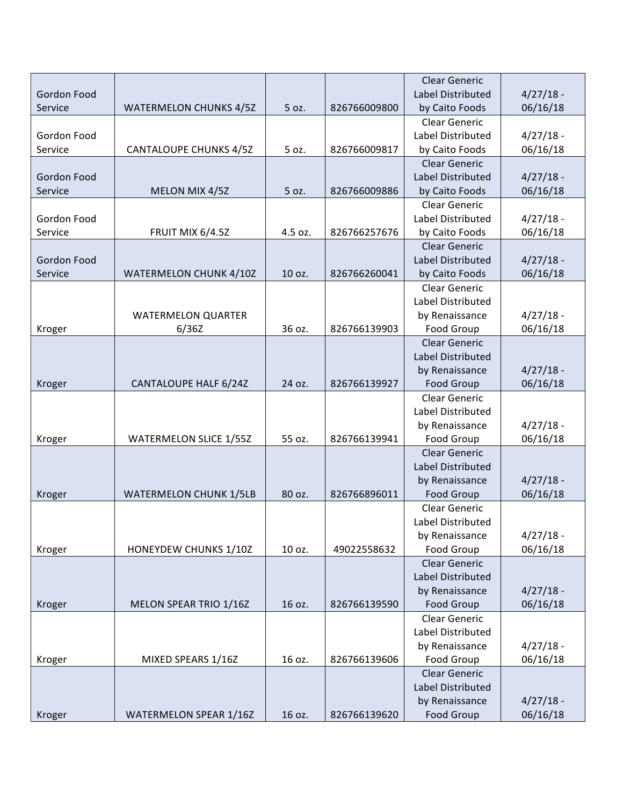|             |                               |         |              | <b>Clear Generic</b> |             |
|-------------|-------------------------------|---------|--------------|----------------------|-------------|
| Gordon Food |                               |         |              | Label Distributed    | $4/27/18 -$ |
| Service     | <b>WATERMELON CHUNKS 4/5Z</b> | 5 oz.   | 826766009800 | by Caito Foods       | 06/16/18    |
|             |                               |         |              | <b>Clear Generic</b> |             |
| Gordon Food |                               |         |              | Label Distributed    | $4/27/18 -$ |
| Service     | <b>CANTALOUPE CHUNKS 4/5Z</b> | 5 oz.   | 826766009817 | by Caito Foods       | 06/16/18    |
|             |                               |         |              | <b>Clear Generic</b> |             |
| Gordon Food |                               |         |              | Label Distributed    | $4/27/18 -$ |
| Service     | MELON MIX 4/5Z                | 5 oz.   | 826766009886 | by Caito Foods       | 06/16/18    |
|             |                               |         |              | <b>Clear Generic</b> |             |
| Gordon Food |                               |         |              | Label Distributed    | $4/27/18 -$ |
| Service     | FRUIT MIX 6/4.5Z              | 4.5 oz. | 826766257676 | by Caito Foods       | 06/16/18    |
|             |                               |         |              | <b>Clear Generic</b> |             |
| Gordon Food |                               |         |              | Label Distributed    | $4/27/18 -$ |
| Service     | <b>WATERMELON CHUNK 4/10Z</b> | 10 oz.  | 826766260041 | by Caito Foods       | 06/16/18    |
|             |                               |         |              | <b>Clear Generic</b> |             |
|             |                               |         |              | Label Distributed    |             |
|             | <b>WATERMELON QUARTER</b>     |         |              | by Renaissance       | $4/27/18 -$ |
| Kroger      | 6/36Z                         | 36 oz.  | 826766139903 | Food Group           | 06/16/18    |
|             |                               |         |              | <b>Clear Generic</b> |             |
|             |                               |         |              | Label Distributed    |             |
|             |                               |         |              | by Renaissance       | $4/27/18 -$ |
| Kroger      | <b>CANTALOUPE HALF 6/24Z</b>  | 24 oz.  | 826766139927 | <b>Food Group</b>    | 06/16/18    |
|             |                               |         |              | <b>Clear Generic</b> |             |
|             |                               |         |              | Label Distributed    |             |
|             |                               |         |              | by Renaissance       | $4/27/18 -$ |
| Kroger      | <b>WATERMELON SLICE 1/55Z</b> | 55 oz.  | 826766139941 | Food Group           | 06/16/18    |
|             |                               |         |              | <b>Clear Generic</b> |             |
|             |                               |         |              | Label Distributed    |             |
|             |                               |         |              | by Renaissance       | $4/27/18 -$ |
| Kroger      | <b>WATERMELON CHUNK 1/5LB</b> | 80 oz.  | 826766896011 | <b>Food Group</b>    | 06/16/18    |
|             |                               |         |              | <b>Clear Generic</b> |             |
|             |                               |         |              | Label Distributed    |             |
|             |                               |         |              | by Renaissance       | $4/27/18$ - |
| Kroger      | HONEYDEW CHUNKS 1/10Z         | 10 oz.  | 49022558632  | Food Group           | 06/16/18    |
|             |                               |         |              | <b>Clear Generic</b> |             |
|             |                               |         |              | Label Distributed    |             |
|             |                               |         |              | by Renaissance       | $4/27/18 -$ |
| Kroger      | MELON SPEAR TRIO 1/16Z        | 16 oz.  | 826766139590 | Food Group           | 06/16/18    |
|             |                               |         |              | Clear Generic        |             |
|             |                               |         |              | Label Distributed    |             |
|             |                               |         |              | by Renaissance       | $4/27/18$ - |
| Kroger      | MIXED SPEARS 1/16Z            | 16 oz.  | 826766139606 | Food Group           | 06/16/18    |
|             |                               |         |              | <b>Clear Generic</b> |             |
|             |                               |         |              | Label Distributed    |             |
|             |                               |         |              | by Renaissance       | $4/27/18 -$ |
| Kroger      | WATERMELON SPEAR 1/16Z        | 16 oz.  | 826766139620 | Food Group           | 06/16/18    |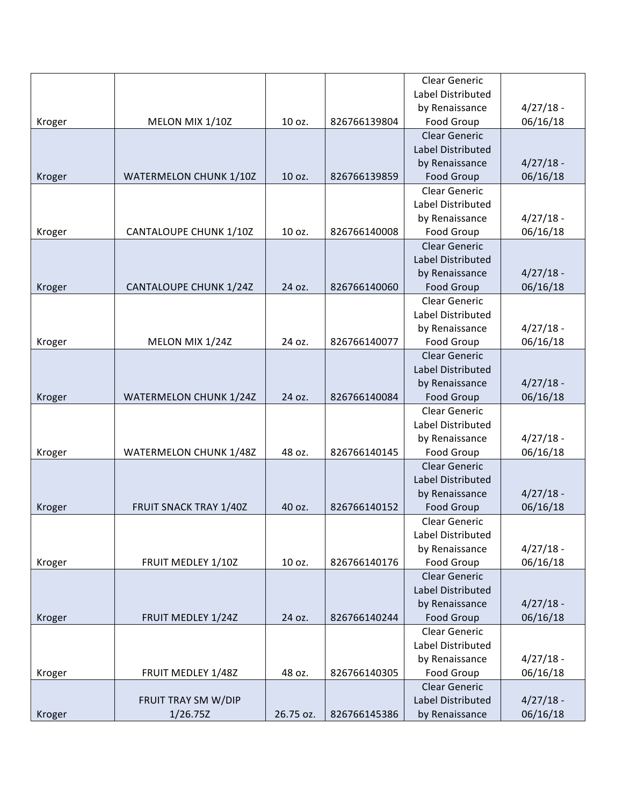|        |                               |           |              | <b>Clear Generic</b>        |             |
|--------|-------------------------------|-----------|--------------|-----------------------------|-------------|
|        |                               |           |              | Label Distributed           |             |
|        |                               |           |              | by Renaissance              | $4/27/18$ - |
| Kroger | MELON MIX 1/10Z               | 10 oz.    | 826766139804 | Food Group                  | 06/16/18    |
|        |                               |           |              | <b>Clear Generic</b>        |             |
|        |                               |           |              | Label Distributed           |             |
|        |                               |           |              | by Renaissance              | $4/27/18 -$ |
| Kroger | <b>WATERMELON CHUNK 1/10Z</b> | 10 oz.    | 826766139859 | Food Group                  | 06/16/18    |
|        |                               |           |              | <b>Clear Generic</b>        |             |
|        |                               |           |              | Label Distributed           |             |
|        |                               |           |              | by Renaissance              | $4/27/18$ - |
| Kroger | <b>CANTALOUPE CHUNK 1/10Z</b> | 10 oz.    | 826766140008 | Food Group                  | 06/16/18    |
|        |                               |           |              | <b>Clear Generic</b>        |             |
|        |                               |           |              | Label Distributed           |             |
|        |                               |           |              | by Renaissance              | $4/27/18$ - |
| Kroger | <b>CANTALOUPE CHUNK 1/24Z</b> | 24 oz.    | 826766140060 | Food Group                  | 06/16/18    |
|        |                               |           |              | <b>Clear Generic</b>        |             |
|        |                               |           |              | Label Distributed           |             |
|        |                               |           |              | by Renaissance              | $4/27/18 -$ |
| Kroger | MELON MIX 1/24Z               | 24 oz.    | 826766140077 | Food Group                  | 06/16/18    |
|        |                               |           |              | <b>Clear Generic</b>        |             |
|        |                               |           |              | Label Distributed           |             |
|        |                               |           |              | by Renaissance              | $4/27/18$ - |
| Kroger | <b>WATERMELON CHUNK 1/24Z</b> | 24 oz.    | 826766140084 | Food Group                  | 06/16/18    |
|        |                               |           |              | <b>Clear Generic</b>        |             |
|        |                               |           |              | Label Distributed           |             |
|        |                               |           |              | by Renaissance              | $4/27/18 -$ |
| Kroger | <b>WATERMELON CHUNK 1/48Z</b> | 48 oz.    | 826766140145 | Food Group                  | 06/16/18    |
|        |                               |           |              | <b>Clear Generic</b>        |             |
|        |                               |           |              | Label Distributed           | $4/27/18 -$ |
|        |                               | 40 oz.    | 826766140152 | by Renaissance              | 06/16/18    |
| Kroger | FRUIT SNACK TRAY 1/40Z        |           |              | Food Group<br>Clear Generic |             |
|        |                               |           |              | Label Distributed           |             |
|        |                               |           |              | by Renaissance              | $4/27/18 -$ |
|        | FRUIT MEDLEY 1/10Z            | 10 oz.    | 826766140176 | Food Group                  | 06/16/18    |
| Kroger |                               |           |              | <b>Clear Generic</b>        |             |
|        |                               |           |              | Label Distributed           |             |
|        |                               |           |              | by Renaissance              | $4/27/18 -$ |
| Kroger | FRUIT MEDLEY 1/24Z            | 24 oz.    | 826766140244 | <b>Food Group</b>           | 06/16/18    |
|        |                               |           |              | Clear Generic               |             |
|        |                               |           |              | Label Distributed           |             |
|        |                               |           |              | by Renaissance              | $4/27/18 -$ |
| Kroger | FRUIT MEDLEY 1/48Z            | 48 oz.    | 826766140305 | Food Group                  | 06/16/18    |
|        |                               |           |              | <b>Clear Generic</b>        |             |
|        | FRUIT TRAY SM W/DIP           |           |              | Label Distributed           | $4/27/18 -$ |
| Kroger | 1/26.75Z                      | 26.75 oz. | 826766145386 | by Renaissance              | 06/16/18    |
|        |                               |           |              |                             |             |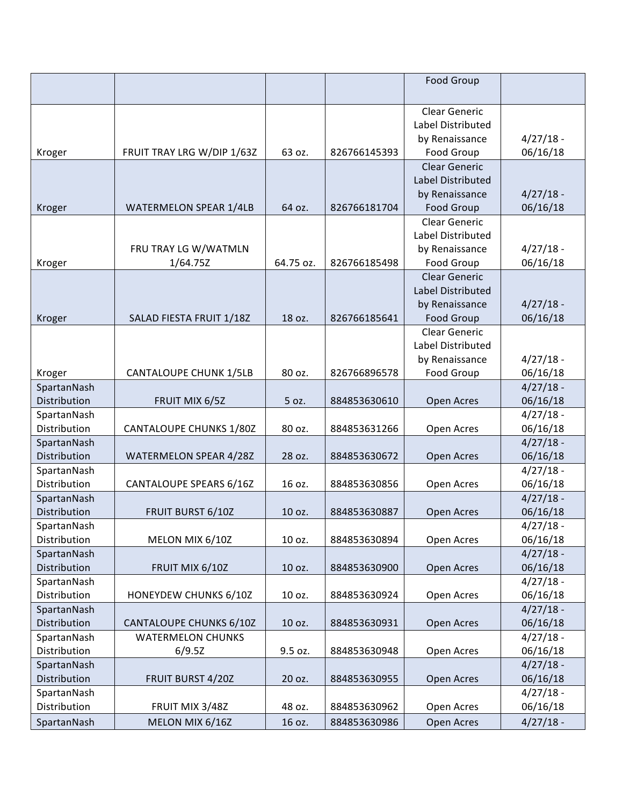|                             |                                |           |              | <b>Food Group</b>    |                         |
|-----------------------------|--------------------------------|-----------|--------------|----------------------|-------------------------|
|                             |                                |           |              |                      |                         |
|                             |                                |           |              | Clear Generic        |                         |
|                             |                                |           |              | Label Distributed    |                         |
|                             |                                |           |              | by Renaissance       | $4/27/18 -$             |
| Kroger                      | FRUIT TRAY LRG W/DIP 1/63Z     | 63 oz.    | 826766145393 | Food Group           | 06/16/18                |
|                             |                                |           |              | <b>Clear Generic</b> |                         |
|                             |                                |           |              | Label Distributed    |                         |
|                             |                                |           |              | by Renaissance       | $4/27/18 -$             |
| Kroger                      | <b>WATERMELON SPEAR 1/4LB</b>  | 64 oz.    | 826766181704 | <b>Food Group</b>    | 06/16/18                |
|                             |                                |           |              | <b>Clear Generic</b> |                         |
|                             |                                |           |              | Label Distributed    |                         |
|                             | FRU TRAY LG W/WATMLN           |           |              | by Renaissance       | $4/27/18 -$             |
| Kroger                      | 1/64.75Z                       | 64.75 oz. | 826766185498 | Food Group           | 06/16/18                |
|                             |                                |           |              | <b>Clear Generic</b> |                         |
|                             |                                |           |              | Label Distributed    |                         |
|                             |                                |           |              | by Renaissance       | $4/27/18 -$             |
| Kroger                      | SALAD FIESTA FRUIT 1/18Z       | 18 oz.    | 826766185641 | Food Group           | 06/16/18                |
|                             |                                |           |              | <b>Clear Generic</b> |                         |
|                             |                                |           |              | Label Distributed    |                         |
|                             |                                |           |              | by Renaissance       | $4/27/18 -$             |
| Kroger                      | <b>CANTALOUPE CHUNK 1/5LB</b>  | 80 oz.    | 826766896578 | Food Group           | 06/16/18                |
| SpartanNash                 |                                |           |              |                      | $4/27/18 -$             |
| Distribution                | FRUIT MIX 6/5Z                 | 5 oz.     | 884853630610 | Open Acres           | 06/16/18                |
| SpartanNash                 |                                |           |              |                      | $4/27/18 -$             |
| Distribution                | <b>CANTALOUPE CHUNKS 1/80Z</b> | 80 oz.    | 884853631266 | Open Acres           | 06/16/18                |
| SpartanNash                 |                                |           |              |                      | $4/27/18$ -             |
| Distribution                | WATERMELON SPEAR 4/28Z         | 28 oz.    | 884853630672 | Open Acres           | 06/16/18                |
| SpartanNash<br>Distribution |                                | 16 oz.    | 884853630856 |                      | $4/27/18 -$<br>06/16/18 |
| SpartanNash                 | CANTALOUPE SPEARS 6/16Z        |           |              | Open Acres           | $4/27/18 -$             |
| Distribution                | FRUIT BURST 6/10Z              | 10 oz.    | 884853630887 | Open Acres           | 06/16/18                |
| SpartanNash                 |                                |           |              |                      | $4/27/18 -$             |
| Distribution                | MELON MIX 6/10Z                | 10 oz.    | 884853630894 | Open Acres           | 06/16/18                |
| SpartanNash                 |                                |           |              |                      | $4/27/18 -$             |
| Distribution                | FRUIT MIX 6/10Z                | 10 oz.    | 884853630900 | Open Acres           | 06/16/18                |
| SpartanNash                 |                                |           |              |                      | $4/27/18 -$             |
| Distribution                | HONEYDEW CHUNKS 6/10Z          | 10 oz.    | 884853630924 | Open Acres           | 06/16/18                |
| SpartanNash                 |                                |           |              |                      | $4/27/18$ -             |
| Distribution                | <b>CANTALOUPE CHUNKS 6/10Z</b> | 10 oz.    | 884853630931 | Open Acres           | 06/16/18                |
| SpartanNash                 | <b>WATERMELON CHUNKS</b>       |           |              |                      | $4/27/18 -$             |
| Distribution                | 6/9.5Z                         | 9.5 oz.   | 884853630948 | Open Acres           | 06/16/18                |
| SpartanNash                 |                                |           |              |                      | $4/27/18 -$             |
| Distribution                | FRUIT BURST 4/20Z              | 20 oz.    | 884853630955 | Open Acres           | 06/16/18                |
| SpartanNash                 |                                |           |              |                      | $4/27/18 -$             |
| Distribution                | FRUIT MIX 3/48Z                | 48 oz.    | 884853630962 | Open Acres           | 06/16/18                |
| SpartanNash                 | MELON MIX 6/16Z                | 16 oz.    | 884853630986 | Open Acres           | $4/27/18$ -             |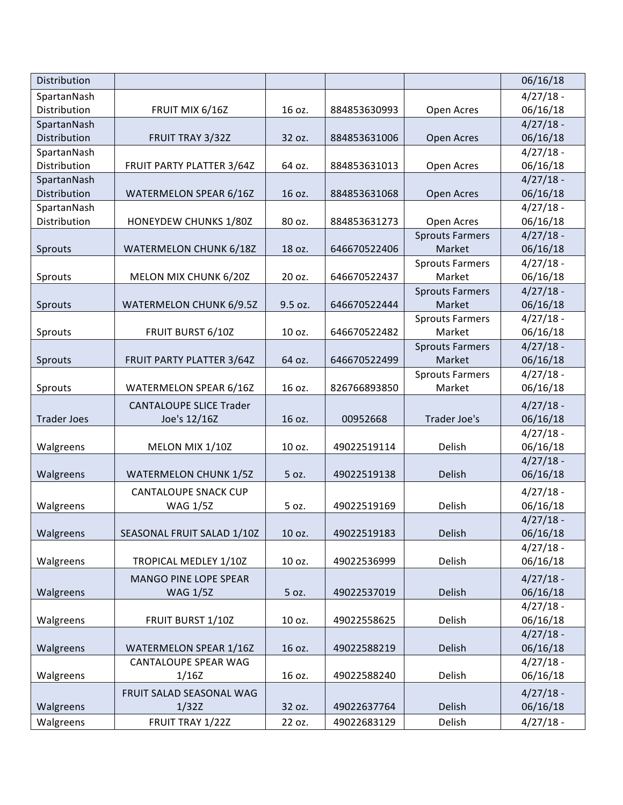| Distribution       |                                |         |              |                                  | 06/16/18                |
|--------------------|--------------------------------|---------|--------------|----------------------------------|-------------------------|
| SpartanNash        |                                |         |              |                                  | $4/27/18 -$             |
| Distribution       | FRUIT MIX 6/16Z                | 16 oz.  | 884853630993 | Open Acres                       | 06/16/18                |
| SpartanNash        |                                |         |              |                                  | $4/27/18$ -             |
| Distribution       | FRUIT TRAY 3/32Z               | 32 oz.  | 884853631006 | <b>Open Acres</b>                | 06/16/18                |
| SpartanNash        |                                |         |              |                                  | $4/27/18 -$             |
| Distribution       | FRUIT PARTY PLATTER 3/64Z      | 64 oz.  | 884853631013 | Open Acres                       | 06/16/18                |
| SpartanNash        |                                |         |              |                                  | $4/27/18 -$             |
| Distribution       | <b>WATERMELON SPEAR 6/16Z</b>  | 16 oz.  | 884853631068 | Open Acres                       | 06/16/18                |
| SpartanNash        |                                |         |              |                                  | $4/27/18$ -             |
| Distribution       | HONEYDEW CHUNKS 1/80Z          | 80 oz.  | 884853631273 | Open Acres                       | 06/16/18                |
|                    |                                |         |              | <b>Sprouts Farmers</b>           | $4/27/18$ -             |
| Sprouts            | <b>WATERMELON CHUNK 6/18Z</b>  | 18 oz.  | 646670522406 | Market                           | 06/16/18                |
|                    |                                |         |              | <b>Sprouts Farmers</b>           | $4/27/18 -$             |
| Sprouts            | MELON MIX CHUNK 6/20Z          | 20 oz.  | 646670522437 | Market                           | 06/16/18                |
|                    | <b>WATERMELON CHUNK 6/9.5Z</b> |         | 646670522444 | <b>Sprouts Farmers</b><br>Market | $4/27/18 -$<br>06/16/18 |
| Sprouts            |                                | 9.5 oz. |              |                                  | $4/27/18 -$             |
| Sprouts            | FRUIT BURST 6/10Z              | 10 oz.  | 646670522482 | <b>Sprouts Farmers</b><br>Market | 06/16/18                |
|                    |                                |         |              | <b>Sprouts Farmers</b>           | $4/27/18$ -             |
| Sprouts            | FRUIT PARTY PLATTER 3/64Z      | 64 oz.  | 646670522499 | Market                           | 06/16/18                |
|                    |                                |         |              | <b>Sprouts Farmers</b>           | $4/27/18 -$             |
| Sprouts            | <b>WATERMELON SPEAR 6/16Z</b>  | 16 oz.  | 826766893850 | Market                           | 06/16/18                |
|                    |                                |         |              |                                  |                         |
|                    | <b>CANTALOUPE SLICE Trader</b> |         |              |                                  | $4/27/18 -$             |
| <b>Trader Joes</b> | Joe's 12/16Z                   | 16 oz.  | 00952668     | Trader Joe's                     | 06/16/18                |
| Walgreens          | MELON MIX 1/10Z                | 10 oz.  | 49022519114  | Delish                           | $4/27/18 -$<br>06/16/18 |
|                    |                                |         |              |                                  | $4/27/18$ -             |
| Walgreens          | <b>WATERMELON CHUNK 1/5Z</b>   | 5 oz.   | 49022519138  | Delish                           | 06/16/18                |
|                    |                                |         |              |                                  |                         |
|                    | <b>CANTALOUPE SNACK CUP</b>    |         |              |                                  | $4/27/18 -$             |
| Walgreens          | <b>WAG 1/5Z</b>                | 5 oz.   | 49022519169  | Delish                           | 06/16/18                |
|                    |                                |         | 49022519183  | Delish                           | $4/27/18$ -<br>06/16/18 |
| Walgreens          | SEASONAL FRUIT SALAD 1/10Z     | 10 oz.  |              |                                  | $4/27/18 -$             |
| Walgreens          | TROPICAL MEDLEY 1/10Z          | 10 oz.  | 49022536999  | Delish                           | 06/16/18                |
|                    |                                |         |              |                                  |                         |
|                    | MANGO PINE LOPE SPEAR          |         |              |                                  | $4/27/18$ -             |
| Walgreens          | <b>WAG 1/5Z</b>                | 5 oz.   | 49022537019  | Delish                           | 06/16/18                |
|                    |                                |         |              |                                  | $4/27/18 -$             |
| Walgreens          | FRUIT BURST 1/10Z              | 10 oz.  | 49022558625  | Delish                           | 06/16/18                |
| Walgreens          | <b>WATERMELON SPEAR 1/16Z</b>  | 16 oz.  | 49022588219  | Delish                           | $4/27/18 -$<br>06/16/18 |
|                    | CANTALOUPE SPEAR WAG           |         |              |                                  | $4/27/18 -$             |
| Walgreens          | 1/16Z                          | 16 oz.  | 49022588240  | Delish                           | 06/16/18                |
|                    |                                |         |              |                                  |                         |
|                    | FRUIT SALAD SEASONAL WAG       |         |              |                                  | $4/27/18$ -             |
| Walgreens          | 1/32Z                          | 32 oz.  | 49022637764  | Delish                           | 06/16/18                |
| Walgreens          | FRUIT TRAY 1/22Z               | 22 oz.  | 49022683129  | Delish                           | $4/27/18 -$             |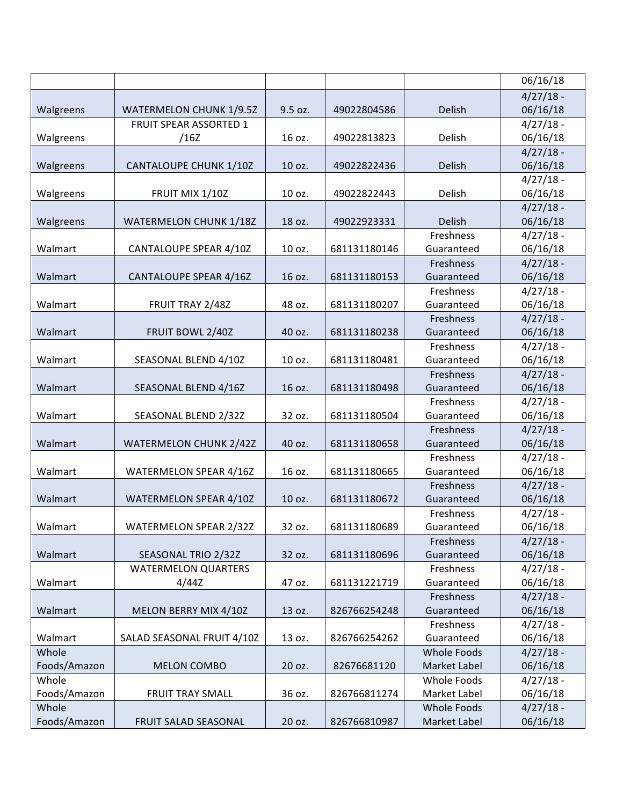|                       |                                |         |              |                             | 06/16/18                |
|-----------------------|--------------------------------|---------|--------------|-----------------------------|-------------------------|
|                       |                                |         |              |                             | $4/27/18$ -             |
| Walgreens             | <b>WATERMELON CHUNK 1/9.5Z</b> | 9.5 oz. | 49022804586  | Delish                      | 06/16/18                |
|                       | FRUIT SPEAR ASSORTED 1         |         |              |                             | $4/27/18 -$             |
| Walgreens             | /16Z                           | 16 oz.  | 49022813823  | Delish                      | 06/16/18                |
|                       |                                |         |              |                             | $4/27/18 -$             |
| Walgreens             | <b>CANTALOUPE CHUNK 1/10Z</b>  | 10 oz.  | 49022822436  | Delish                      | 06/16/18                |
|                       |                                |         |              |                             | $4/27/18$ -             |
| Walgreens             | FRUIT MIX 1/10Z                | 10 oz.  | 49022822443  | Delish                      | 06/16/18                |
|                       |                                |         |              |                             | $4/27/18$ -             |
| Walgreens             | <b>WATERMELON CHUNK 1/18Z</b>  | 18 oz.  | 49022923331  | Delish                      | 06/16/18                |
|                       |                                |         |              | Freshness                   | $4/27/18 -$             |
| Walmart               | CANTALOUPE SPEAR 4/10Z         | 10 oz.  | 681131180146 | Guaranteed                  | 06/16/18                |
|                       |                                |         |              | Freshness                   | $4/27/18 -$             |
| Walmart               | CANTALOUPE SPEAR 4/16Z         | 16 oz.  | 681131180153 | Guaranteed                  | 06/16/18                |
| Walmart               | FRUIT TRAY 2/48Z               | 48 oz.  | 681131180207 | Freshness<br>Guaranteed     | $4/27/18 -$<br>06/16/18 |
|                       |                                |         |              | Freshness                   | $4/27/18$ -             |
| Walmart               | FRUIT BOWL 2/40Z               | 40 oz.  | 681131180238 | Guaranteed                  | 06/16/18                |
|                       |                                |         |              | Freshness                   | $4/27/18$ -             |
| Walmart               | SEASONAL BLEND 4/10Z           | 10 oz.  | 681131180481 | Guaranteed                  | 06/16/18                |
|                       |                                |         |              | Freshness                   | $4/27/18 -$             |
| Walmart               | SEASONAL BLEND 4/16Z           | 16 oz.  | 681131180498 | Guaranteed                  | 06/16/18                |
|                       |                                |         |              | Freshness                   | $4/27/18 -$             |
| Walmart               | SEASONAL BLEND 2/32Z           | 32 oz.  | 681131180504 | Guaranteed                  | 06/16/18                |
|                       |                                |         |              | Freshness                   | $4/27/18 -$             |
| Walmart               | <b>WATERMELON CHUNK 2/42Z</b>  | 40 oz.  | 681131180658 | Guaranteed                  | 06/16/18                |
|                       |                                |         |              | Freshness                   | $4/27/18 -$             |
| Walmart               | WATERMELON SPEAR 4/16Z         | 16 oz.  | 681131180665 | Guaranteed                  | 06/16/18                |
|                       |                                |         |              | Freshness                   | $4/27/18$ -             |
| Walmart               | <b>WATERMELON SPEAR 4/10Z</b>  | 10 oz.  | 681131180672 | Guaranteed                  | 06/16/18                |
|                       |                                |         |              | Freshness                   | $4/27/18 -$             |
| Walmart               | WATERMELON SPEAR 2/32Z         | 32 oz.  | 681131180689 | Guaranteed                  | 06/16/18                |
|                       |                                |         |              | Freshness                   | $4/27/18 -$             |
| Walmart               | SEASONAL TRIO 2/32Z            | 32 oz.  | 681131180696 | Guaranteed                  | 06/16/18                |
|                       | <b>WATERMELON QUARTERS</b>     |         |              | Freshness                   | $4/27/18 -$             |
| Walmart               | 4/44Z                          | 47 oz.  | 681131221719 | Guaranteed                  | 06/16/18                |
|                       |                                |         |              | Freshness                   | $4/27/18 -$             |
| Walmart               | MELON BERRY MIX 4/10Z          | 13 oz.  | 826766254248 | Guaranteed                  | 06/16/18                |
|                       |                                |         |              | Freshness                   | $4/27/18 -$             |
| Walmart               | SALAD SEASONAL FRUIT 4/10Z     | 13 oz.  | 826766254262 | Guaranteed                  | 06/16/18                |
| Whole                 |                                |         |              | <b>Whole Foods</b>          | $4/27/18 -$             |
| Foods/Amazon          | <b>MELON COMBO</b>             | 20 oz.  | 82676681120  | Market Label                | 06/16/18                |
| Whole                 |                                |         |              | Whole Foods                 | $4/27/18 -$             |
| Foods/Amazon<br>Whole | <b>FRUIT TRAY SMALL</b>        | 36 oz.  | 826766811274 | Market Label<br>Whole Foods | 06/16/18                |
| Foods/Amazon          | FRUIT SALAD SEASONAL           | 20 oz.  | 826766810987 | Market Label                | $4/27/18$ -<br>06/16/18 |
|                       |                                |         |              |                             |                         |